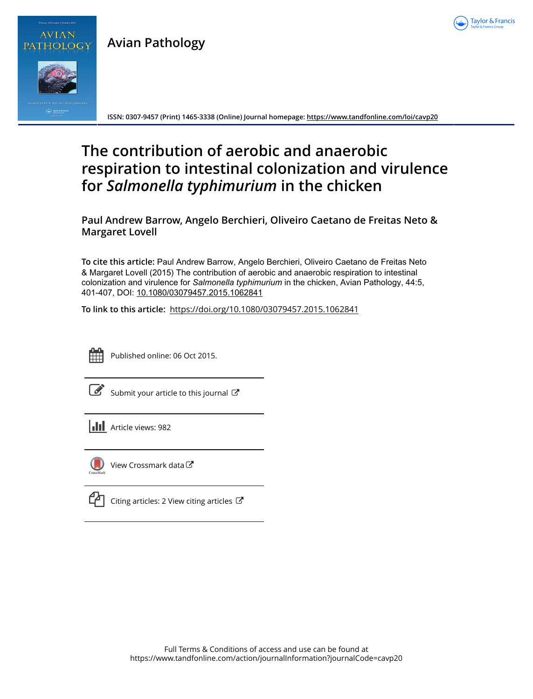

**Avian Pathology**



PATHOLOGY

**ISSN: 0307-9457 (Print) 1465-3338 (Online) Journal homepage:<https://www.tandfonline.com/loi/cavp20>**

# **The contribution of aerobic and anaerobic respiration to intestinal colonization and virulence for** *Salmonella typhimurium* **in the chicken**

**Paul Andrew Barrow, Angelo Berchieri, Oliveiro Caetano de Freitas Neto & Margaret Lovell**

**To cite this article:** Paul Andrew Barrow, Angelo Berchieri, Oliveiro Caetano de Freitas Neto & Margaret Lovell (2015) The contribution of aerobic and anaerobic respiration to intestinal colonization and virulence for Salmonella typhimurium in the chicken, Avian Pathology, 44:5, 401-407, DOI: [10.1080/03079457.2015.1062841](https://www.tandfonline.com/action/showCitFormats?doi=10.1080/03079457.2015.1062841)

**To link to this article:** <https://doi.org/10.1080/03079457.2015.1062841>



Published online: 06 Oct 2015.

[Submit your article to this journal](https://www.tandfonline.com/action/authorSubmission?journalCode=cavp20&show=instructions)  $\mathbb{Z}$ 

**Article views: 982** 



[View Crossmark data](http://crossmark.crossref.org/dialog/?doi=10.1080/03079457.2015.1062841&domain=pdf&date_stamp=2015-10-06)<sup>C</sup>

[Citing articles: 2 View citing articles](https://www.tandfonline.com/doi/citedby/10.1080/03079457.2015.1062841#tabModule)  $\mathbb{Z}$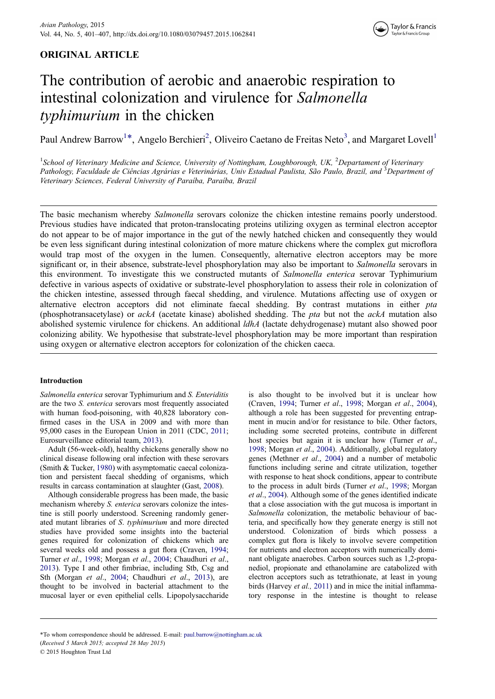# ORIGINAL ARTICLE



# The contribution of aerobic and anaerobic respiration to intestinal colonization and virulence for Salmonella typhimurium in the chicken

Paul Andrew Barrow<sup>1\*</sup>, Angelo Berchieri<sup>2</sup>, Oliveiro Caetano de Freitas Neto<sup>3</sup>, and Margaret Lovell<sup>1</sup>

<sup>1</sup>School of Veterinary Medicine and Science, University of Nottingham, Loughborough, UK, <sup>2</sup>Departament of Veterinary Pathology, Faculdade de Ciências Agrárias e Veterinárias, Univ Estadual Paulista, São Paulo, Brazil, and <sup>3</sup>Department of Veterinary Sciences, Federal University of Paraíba, Paraíba, Brazil

The basic mechanism whereby *Salmonella* serovars colonize the chicken intestine remains poorly understood. Previous studies have indicated that proton-translocating proteins utilizing oxygen as terminal electron acceptor do not appear to be of major importance in the gut of the newly hatched chicken and consequently they would be even less significant during intestinal colonization of more mature chickens where the complex gut microflora would trap most of the oxygen in the lumen. Consequently, alternative electron acceptors may be more significant or, in their absence, substrate-level phosphorylation may also be important to Salmonella serovars in this environment. To investigate this we constructed mutants of Salmonella enterica serovar Typhimurium defective in various aspects of oxidative or substrate-level phosphorylation to assess their role in colonization of the chicken intestine, assessed through faecal shedding, and virulence. Mutations affecting use of oxygen or alternative electron acceptors did not eliminate faecal shedding. By contrast mutations in either pta (phosphotransacetylase) or  $ackA$  (acetate kinase) abolished shedding. The *pta* but not the  $ackA$  mutation also abolished systemic virulence for chickens. An additional *ldhA* (lactate dehydrogenase) mutant also showed poor colonizing ability. We hypothesise that substrate-level phosphorylation may be more important than respiration using oxygen or alternative electron acceptors for colonization of the chicken caeca.

## Introduction

Salmonella enterica serovar Typhimurium and S. Enteriditis are the two S. enterica serovars most frequently associated with human food-poisoning, with 40,828 laboratory confirmed cases in the USA in 2009 and with more than 95,000 cases in the European Union in 2011 (CDC, [2011](#page-6-0); Eurosurveillance editorial team, [2013](#page-6-0)).

Adult (56-week-old), healthy chickens generally show no clinical disease following oral infection with these serovars (Smith & Tucker, [1980](#page-6-0)) with asymptomatic caecal colonization and persistent faecal shedding of organisms, which results in carcass contamination at slaughter (Gast, [2008\)](#page-6-0).

Although considerable progress has been made, the basic mechanism whereby S. enterica serovars colonize the intestine is still poorly understood. Screening randomly generated mutant libraries of S. typhimurium and more directed studies have provided some insights into the bacterial genes required for colonization of chickens which are several weeks old and possess a gut flora (Craven, [1994](#page-6-0); Turner et al., [1998;](#page-6-0) Morgan et al., [2004;](#page-6-0) Chaudhuri et al., [2013](#page-6-0)). Type I and other fimbriae, including Stb, Csg and Sth (Morgan et al., [2004](#page-6-0); Chaudhuri et al., [2013\)](#page-6-0), are thought to be involved in bacterial attachment to the mucosal layer or even epithelial cells. Lipopolysaccharide is also thought to be involved but it is unclear how (Craven, [1994;](#page-6-0) Turner et al., [1998;](#page-6-0) Morgan et al., [2004](#page-6-0)), although a role has been suggested for preventing entrapment in mucin and/or for resistance to bile. Other factors, including some secreted proteins, contribute in different host species but again it is unclear how (Turner et al., [1998](#page-6-0); Morgan et al., [2004\)](#page-6-0). Additionally, global regulatory genes (Methner et al., [2004\)](#page-6-0) and a number of metabolic functions including serine and citrate utilization, together with response to heat shock conditions, appear to contribute to the process in adult birds (Turner et al., [1998;](#page-6-0) Morgan et al., [2004\)](#page-6-0). Although some of the genes identified indicate that a close association with the gut mucosa is important in Salmonella colonization, the metabolic behaviour of bacteria, and specifically how they generate energy is still not understood. Colonization of birds which possess a complex gut flora is likely to involve severe competition for nutrients and electron acceptors with numerically dominant obligate anaerobes. Carbon sources such as 1,2-propanediol, propionate and ethanolamine are catabolized with electron acceptors such as tetrathionate, at least in young birds (Harvey et al., [2011](#page-6-0)) and in mice the initial inflammatory response in the intestine is thought to release

(Received 5 March 2015; accepted 28 May 2015) \*To whom correspondence should be addressed. E-mail: [paul.barrow@nottingham.ac.uk](mailto:paul.barrow@nottingham.ac.uk)

© 2015 Houghton Trust Ltd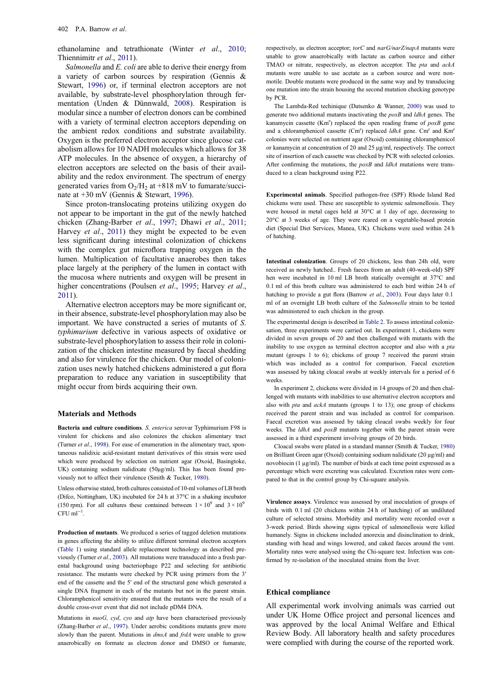ethanolamine and tetrathionate (Winter et al., [2010;](#page-7-0) Thiennimitr et al., [2011](#page-6-0)).

Salmonella and E. coli are able to derive their energy from a variety of carbon sources by respiration (Gennis & Stewart, [1996](#page-6-0)) or, if terminal electron acceptors are not available, by substrate-level phosphorylation through fermentation (Unden & Dünnwald, [2008\)](#page-7-0). Respiration is modular since a number of electron donors can be combined with a variety of terminal electron acceptors depending on the ambient redox conditions and substrate availability. Oxygen is the preferred electron acceptor since glucose catabolism allows for 10 NADH molecules which allows for 38 ATP molecules. In the absence of oxygen, a hierarchy of electron acceptors are selected on the basis of their availability and the redox environment. The spectrum of energy generated varies from  $O_2/H_2$  at +818 mV to fumarate/succinate at +30 mV (Gennis & Stewart, [1996\)](#page-6-0).

Since proton-translocating proteins utilizing oxygen do not appear to be important in the gut of the newly hatched chicken (Zhang-Barber et al., [1997](#page-7-0); Dhawi et al., [2011;](#page-6-0) Harvey et al., [2011\)](#page-6-0) they might be expected to be even less significant during intestinal colonization of chickens with the complex gut microflora trapping oxygen in the lumen. Multiplication of facultative anaerobes then takes place largely at the periphery of the lumen in contact with the mucosa where nutrients and oxygen will be present in higher concentrations (Poulsen et al., [1995;](#page-6-0) Harvey et al., [2011](#page-6-0)).

Alternative electron acceptors may be more significant or, in their absence, substrate-level phosphorylation may also be important. We have constructed a series of mutants of S. typhimurium defective in various aspects of oxidative or substrate-level phosphorylation to assess their role in colonization of the chicken intestine measured by faecal shedding and also for virulence for the chicken. Our model of colonization uses newly hatched chickens administered a gut flora preparation to reduce any variation in susceptibility that might occur from birds acquiring their own.

#### Materials and Methods

Bacteria and culture conditions. S. enterica serovar Typhimurium F98 is virulent for chickens and also colonizes the chicken alimentary tract (Turner et al., [1998\)](#page-6-0). For ease of enumeration in the alimentary tract, spontaneous nalidixic acid-resistant mutant derivatives of this strain were used which were produced by selection on nutrient agar (Oxoid, Basingtoke, UK) containing sodium nalidixate (50μg/ml). This has been found previously not to affect their virulence (Smith & Tucker, [1980](#page-6-0)).

Unless otherwise stated, broth cultures consisted of 10-ml volumes of LB broth (Difco, Nottingham, UK) incubated for 24 h at 37°C in a shaking incubator (150 rpm). For all cultures these contained between  $1 \times 10^9$  and  $3 \times 10^9$  $CFU$  ml<sup>-1</sup>.

Production of mutants. We produced a series of tagged deletion mutations in genes affecting the ability to utilize different terminal electron acceptors ([Table 1](#page-3-0)) using standard allele replacement technology as described previously (Turner et al., [2003\)](#page-7-0). All mutations were transduced into a fresh parental background using bacteriophage P22 and selecting for antibiotic resistance. The mutants were checked by PCR using primers from the 3ʹ end of the cassette and the 5ʹ end of the structural gene which generated a single DNA fragment in each of the mutants but not in the parent strain. Chloramphenicol sensitivity ensured that the mutants were the result of a double cross-over event that did not include pDM4 DNA.

Mutations in  $nu \overline{G}$  cyd, cyo and atp have been characterised previously (Zhang-Barber et al., [1997](#page-7-0)). Under aerobic conditions mutants grew more slowly than the parent. Mutations in *dmsA* and *frdA* were unable to grow anaerobically on formate as electron donor and DMSO or fumarate,

respectively, as electron acceptor; torC and narG/narZ/napA mutants were unable to grow anaerobically with lactate as carbon source and either TMAO or nitrate, respectively, as electron acceptor. The pta and ackA mutants were unable to use acetate as a carbon source and were nonmotile. Double mutants were produced in the same way and by transducing one mutation into the strain housing the second mutation checking genotype by PCR.

The Lambda-Red techinique (Datsenko & Wanner, [2000\)](#page-6-0) was used to generate two additional mutants inactivating the  $p(x)$  and  $ldhA$  genes. The kanamycin cassette  $(Km<sup>r</sup>)$  replaced the open reading frame of  $poxB$  gene and a chloramphenicol cassette ( $Cm<sup>r</sup>$ ) replaced *ldhA* gene.  $Cm<sup>r</sup>$  and  $Km<sup>r</sup>$ colonies were selected on nutrient agar (Oxoid) containing chloramphenicol or kanamycin at concentration of 20 and 25 μg/ml, respectively. The correct site of insertion of each cassette was checked by PCR with selected colonies. After confirming the mutations, the  $p(x)$  and  $ldhA$  mutations were transduced to a clean background using P22.

Experimental animals. Specified pathogen-free (SPF) Rhode Island Red chickens were used. These are susceptible to systemic salmonellosis. They were housed in metal cages held at 30°C at 1 day of age, decreasing to 20°C at 3 weeks of age. They were reared on a vegetable-based protein diet (Special Diet Services, Manea, UK). Chickens were used within 24 h of hatching.

Intestinal colonization. Groups of 20 chickens, less than 24h old, were received as newly hatched.. Fresh faeces from an adult (40-week-old) SPF hen were incubated in 10 ml LB broth statically overnight at 37°C and 0.1 ml of this broth culture was administered to each bird within 24 h of hatching to provide a gut flora (Barrow et al., [2003\)](#page-6-0). Four days later 0.1 ml of an overnight LB broth culture of the Salmonella strain to be tested was administered to each chicken in the group.

The experimental design is described in [Table 2](#page-3-0). To assess intestinal colonizsation, three experiments were carried out. In experiment 1, chickens were divided in seven groups of 20 and then challenged with mutants with the inability to use oxygen as terminal electron acceptor and also with a pta mutant (groups 1 to 6); chickens of group 7 received the parent strain which was included as a control for comparison. Faecal excretion was assessed by taking cloacal swabs at weekly intervals for a period of 6 weeks.

In experiment 2, chickens were divided in 14 groups of 20 and then challenged with mutants with inabilities to use alternative electron acceptors and also with pta and ackA mutants (groups 1 to 13); one group of chickens received the parent strain and was included as control for comparison. Faecal excretion was assessed by taking cloacal swabs weekly for four weeks. The *ldhA* and  $poxB$  mutants together with the parent strain were assessed in a third experiment involving groups of 20 birds.

Cloacal swabs were plated in a standard manner (Smith & Tucker, [1980\)](#page-6-0) on Brilliant Green agar (Oxoid) containing sodium nalidixate (20 μg/ml) and novobiocin (1 μg/ml). The number of birds at each time point expressed as a percentage which were excreting was calculated. Excretion rates were compared to that in the control group by Chi-square analysis.

Virulence assays. Virulence was assessed by oral inoculation of groups of birds with 0.1 ml (20 chickens within 24 h of hatching) of an undiluted culture of selected strains. Morbidity and mortality were recorded over a 3-week period. Birds showing signs typical of salmonellosis were killed humanely. Signs in chickens included anorexia and disinclination to drink, standing with head and wings lowered, and caked faeces around the vent. Mortality rates were analysed using the Chi-square test. Infection was confirmed by re-isolation of the inoculated strains from the liver.

### Ethical compliance

All experimental work involving animals was carried out under UK Home Office project and personal licences and was approved by the local Animal Welfare and Ethical Review Body. All laboratory health and safety procedures were complied with during the course of the reported work.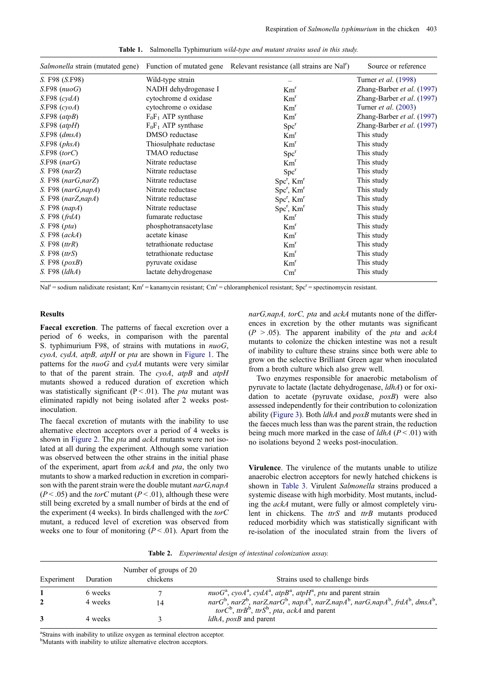<span id="page-3-0"></span>

|                              |                         | <i>Salmonella</i> strain (mutated gene) Function of mutated gene Relevant resistance (all strains are Nal <sup>r</sup> ) | Source or reference<br>Turner <i>et al.</i> (1998) |  |
|------------------------------|-------------------------|--------------------------------------------------------------------------------------------------------------------------|----------------------------------------------------|--|
| S. F98 (S.F98)               | Wild-type strain        |                                                                                                                          |                                                    |  |
| $S.F98$ ( $nuoG$ )           | NADH dehydrogenase I    | Km <sup>r</sup>                                                                                                          | Zhang-Barber et al. (1997)                         |  |
| $S.F98$ (cydA)               | cytochrome d oxidase    | Km <sup>r</sup>                                                                                                          | Zhang-Barber et al. (1997)                         |  |
| $S.F98$ (cyoA)               | cytochrome o oxidase    | Km <sup>r</sup>                                                                                                          | Turner <i>et al.</i> (2003)                        |  |
| $S.F98$ (atpB)               | $F_0F_1$ ATP synthase   | Km <sup>r</sup>                                                                                                          | Zhang-Barber et al. (1997)                         |  |
| $S.F98$ (atpH)               | $F_0F_1$ ATP synthase   | Spc <sup>r</sup>                                                                                                         | Zhang-Barber et al. (1997)                         |  |
| $S.F98$ (dmsA)               | DMSO reductase          | Km <sup>r</sup>                                                                                                          | This study                                         |  |
| S.F98 (phsA)                 | Thiosulphate reductase  | Km <sup>r</sup>                                                                                                          | This study                                         |  |
| S.F98 (torC)                 | TMAO reductase          | Spc <sup>r</sup>                                                                                                         | This study                                         |  |
| $S.F98$ (nar $G$ )           | Nitrate reductase       | Km <sup>r</sup>                                                                                                          | This study                                         |  |
| S. F98 (narZ)                | Nitrate reductase       | Spc <sup>r</sup>                                                                                                         | This study                                         |  |
| $S. F98$ (nar $G$ ,nar $Z$ ) | Nitrate reductase       | $Spcr$ , $Kmr$                                                                                                           | This study                                         |  |
| S. F98 (narG,napA)           | Nitrate reductase       | $Spcr$ , $Kmr$                                                                                                           | This study                                         |  |
| S. F98 (narZ,napA)           | Nitrate reductase       | $Spcr$ , $Kmr$                                                                                                           | This study                                         |  |
| S. F98 (napA)                | Nitrate reductase       | $Spcr$ , $Kmr$                                                                                                           | This study                                         |  |
| S. F98 (frdA)                | fumarate reductase      | Km <sup>r</sup>                                                                                                          | This study                                         |  |
| S. F98 ( <i>pta</i> )        | phosphotransacetylase   | Km <sup>r</sup>                                                                                                          | This study                                         |  |
| S. F98 (ackA)                | acetate kinase          | Km <sup>r</sup>                                                                                                          | This study                                         |  |
| S. F98 (trR)                 | tetrathionate reductase | Km <sup>r</sup>                                                                                                          | This study                                         |  |
| S. F98 (trS)                 | tetrathionate reductase | Km <sup>r</sup>                                                                                                          | This study                                         |  |
| S. F98 $(poxB)$              | pyruvate oxidase        | Km <sup>r</sup>                                                                                                          | This study                                         |  |
| S. F98 (ldhA)                | lactate dehydrogenase   | $\text{Cm}^r$                                                                                                            | This study                                         |  |

Table 1. Salmonella Typhimurium wild-type and mutant strains used in this study.

Nal<sup>r</sup> = sodium nalidixate resistant; Km<sup>r</sup> = kanamycin resistant; Cm<sup>r</sup> = chloramphenicol resistant; Spc<sup>r</sup> = spectinomycin resistant.

#### Results

Faecal excretion. The patterns of faecal excretion over a period of 6 weeks, in comparison with the parental S. typhimurium F98, of strains with mutations in  $nuG$ , cyoA, cydA, atpB, atpH or pta are shown in [Figure 1.](#page-4-0) The patterns for the  $nu\sigma G$  and  $c\gamma dA$  mutants were very similar to that of the parent strain. The  $cyoA$ ,  $atpB$  and  $atpH$ mutants showed a reduced duration of excretion which was statistically significant ( $P < 01$ ). The *pta* mutant was eliminated rapidly not being isolated after 2 weeks postinoculation.

The faecal excretion of mutants with the inability to use alternative electron acceptors over a period of 4 weeks is shown in [Figure 2.](#page-4-0) The pta and ackA mutants were not isolated at all during the experiment. Although some variation was observed between the other strains in the initial phase of the experiment, apart from ackA and pta, the only two mutants to show a marked reduction in excretion in comparison with the parent strain were the double mutant  $n a r G$ ,  $n a p A$  $(P < .05)$  and the *torC* mutant  $(P < .01)$ , although these were still being excreted by a small number of birds at the end of the experiment (4 weeks). In birds challenged with the  $torC$ mutant, a reduced level of excretion was observed from weeks one to four of monitoring  $(P < .01)$ . Apart from the

narG,napA, torC, pta and ackA mutants none of the differences in excretion by the other mutants was significant  $(P > .05)$ . The apparent inability of the *pta* and *ackA* mutants to colonize the chicken intestine was not a result of inability to culture these strains since both were able to grow on the selective Brilliant Green agar when inoculated from a broth culture which also grew well.

Two enzymes responsible for anaerobic metabolism of pyruvate to lactate (lactate dehydrogenase, ldhA) or for oxidation to acetate (pyruvate oxidase, poxB) were also assessed independently for their contribution to colonization ability [\(Figure 3](#page-5-0)). Both ldhA and poxB mutants were shed in the faeces much less than was the parent strain, the reduction being much more marked in the case of  $ldhA$  ( $P < .01$ ) with no isolations beyond 2 weeks post-inoculation.

Virulence. The virulence of the mutants unable to utilize anaerobic electron acceptors for newly hatched chickens is shown in [Table 3.](#page-5-0) Virulent Salmonella strains produced a systemic disease with high morbidity. Most mutants, including the ackA mutant, were fully or almost completely virulent in chickens. The ttrS and ttrB mutants produced reduced morbidity which was statistically significant with re-isolation of the inoculated strain from the livers of

Table 2. Experimental design of intestinal colonization assay.

| Number of groups of 20<br>chickens<br>Experiment<br>Duration |         |    | Strains used to challenge birds                                                                                                                                           |
|--------------------------------------------------------------|---------|----|---------------------------------------------------------------------------------------------------------------------------------------------------------------------------|
|                                                              | 6 weeks |    | $nuoGa$ , cyo $Aa$ , cyd $Aa$ , atp $Ba$ , atp $Ha$ , ptu and parent strain                                                                                               |
|                                                              | 4 weeks | 14 | nar $G^b$ , nar $Z^b$ , narZ,nar $G^b$ , nap $A^b$ , narZ,nap $A^b$ , nar $G$ ,nap $A^b$ , frd $A^b$ , dms $A^b$ ,<br>$torC^b$ , $trB^b$ , $trS^b$ , pta, ackA and parent |
|                                                              | 4 weeks |    | $ldhA$ , $poxB$ and parent                                                                                                                                                |

<sup>a</sup>Strains with inability to utilize oxygen as terminal electron acceptor.

<sup>b</sup>Mutants with inability to utilize alternative electron acceptors.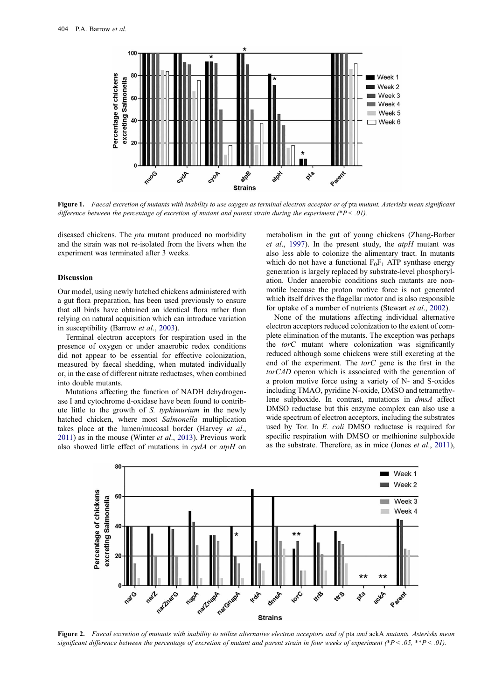<span id="page-4-0"></span>

Figure 1. Faecal excretion of mutants with inability to use oxygen as terminal electron acceptor or of pta mutant. Asterisks mean significant difference between the percentage of excretion of mutant and parent strain during the experiment (\* $P < .01$ ).

diseased chickens. The pta mutant produced no morbidity and the strain was not re-isolated from the livers when the experiment was terminated after 3 weeks.

#### Discussion

Our model, using newly hatched chickens administered with a gut flora preparation, has been used previously to ensure that all birds have obtained an identical flora rather than relying on natural acquisition which can introduce variation in susceptibility (Barrow et al., [2003](#page-6-0)).

Terminal electron acceptors for respiration used in the presence of oxygen or under anaerobic redox conditions did not appear to be essential for effective colonization, measured by faecal shedding, when mutated individually or, in the case of different nitrate reductases, when combined into double mutants.

Mutations affecting the function of NADH dehydrogenase I and cytochrome d-oxidase have been found to contribute little to the growth of S. typhimurium in the newly hatched chicken, where most Salmonella multiplication takes place at the lumen/mucosal border (Harvey et al., [2011](#page-6-0)) as in the mouse (Winter et al., [2013](#page-7-0)). Previous work also showed little effect of mutations in cydA or atpH on

metabolism in the gut of young chickens (Zhang-Barber et al., [1997\)](#page-7-0). In the present study, the  $atpH$  mutant was also less able to colonize the alimentary tract. In mutants which do not have a functional  $F_0F_1$  ATP synthase energy generation is largely replaced by substrate-level phosphorylation. Under anaerobic conditions such mutants are nonmotile because the proton motive force is not generated which itself drives the flagellar motor and is also responsible for uptake of a number of nutrients (Stewart et al., [2002](#page-6-0)).

None of the mutations affecting individual alternative electron acceptors reduced colonization to the extent of complete elimination of the mutants. The exception was perhaps the  $torC$  mutant where colonization was significantly reduced although some chickens were still excreting at the end of the experiment. The torC gene is the first in the torCAD operon which is associated with the generation of a proton motive force using a variety of N- and S-oxides including TMAO, pyridine N-oxide, DMSO and tetramethylene sulphoxide. In contrast, mutations in dmsA affect DMSO reductase but this enzyme complex can also use a wide spectrum of electron acceptors, including the substrates used by Tor. In E. coli DMSO reductase is required for specific respiration with DMSO or methionine sulphoxide as the substrate. Therefore, as in mice (Jones et al., [2011\)](#page-6-0),



Figure 2. Faecal excretion of mutants with inability to utilize alternative electron acceptors and of pta and ackA mutants. Asterisks mean significant difference between the percentage of excretion of mutant and parent strain in four weeks of experiment (\*P< .05, \*\*P< .01).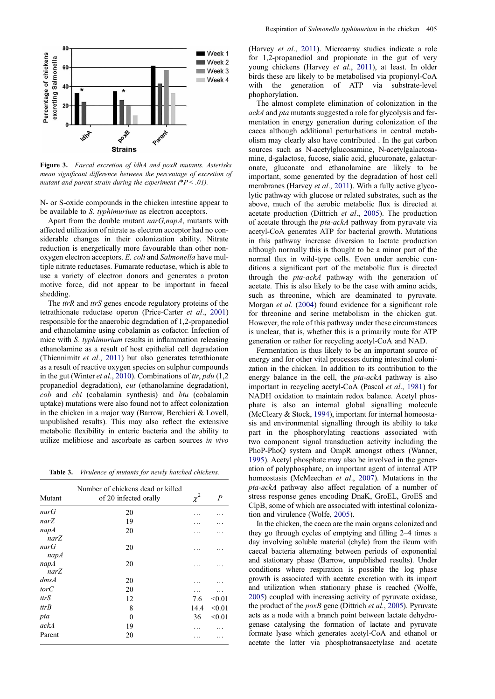<span id="page-5-0"></span>

Figure 3. Faecal excretion of ldhA and poxR mutants. Asterisks mean significant difference between the percentage of excretion of mutant and parent strain during the experiment  $(*P < .01)$ .

N- or S-oxide compounds in the chicken intestine appear to be available to S. typhimurium as electron acceptors.

Apart from the double mutant narG,napA, mutants with affected utilization of nitrate as electron acceptor had no considerable changes in their colonization ability. Nitrate reduction is energetically more favourable than other nonoxygen electron acceptors. E. coli and Salmonella have multiple nitrate reductases. Fumarate reductase, which is able to use a variety of electron donors and generates a proton motive force, did not appear to be important in faecal shedding.

The *ttrR* and *ttrS* genes encode regulatory proteins of the tetrathionate reductase operon (Price-Carter et al., [2001\)](#page-6-0) responsible for the anaerobic degradation of 1,2-propanediol and ethanolamine using cobalamin as cofactor. Infection of mice with S. typhimurium results in inflammation releasing ethanolamine as a result of host epithelial cell degradation (Thiennimitr et al., [2011\)](#page-6-0) but also generates tetrathionate as a result of reactive oxygen species on sulphur compounds in the gut (Winter et al., [2010](#page-7-0)). Combinations of ttr, pdu  $(1,2)$ propanediol degradation), eut (ethanolamine degradation), cob and cbi (cobalamin synthesis) and btu (cobalamin uptake) mutations were also found not to affect colonization in the chicken in a major way (Barrow, Berchieri & Lovell, unpublished results). This may also reflect the extensive metabolic flexibility in enteric bacteria and the ability to utilize melibiose and ascorbate as carbon sources in vivo

Table 3. Virulence of mutants for newly hatched chickens.

| Mutant       | Number of chickens dead or killed<br>of 20 infected orally | $\chi^2$ | $\boldsymbol{P}$ |
|--------------|------------------------------------------------------------|----------|------------------|
| narG         | 20                                                         |          |                  |
| narZ         | 19                                                         |          |                  |
| napA<br>narZ | 20                                                         |          |                  |
| narG<br>napA | 20                                                         |          |                  |
| napA<br>narZ | 20                                                         |          |                  |
| dmsA         | 20                                                         |          |                  |
| torC         | 20                                                         |          |                  |
| ttr S        | 12                                                         | 7.6      | < 0.01           |
| ttrB         | 8                                                          | 14.4     | < 0.01           |
| pta          | $\theta$                                                   | 36       | < 0.01           |
| ackA         | 19                                                         |          |                  |
| Parent       | 20                                                         |          |                  |

(Harvey et al., [2011](#page-6-0)). Microarray studies indicate a role for 1,2-propanediol and propionate in the gut of very young chickens (Harvey et al., [2011\)](#page-6-0), at least. In older birds these are likely to be metabolised via propionyl-CoA with the generation of ATP via substrate-level phophorylation.

The almost complete elimination of colonization in the ackA and pta mutants suggested a role for glycolysis and fermentation in energy generation during colonization of the caeca although additional perturbations in central metabolism may clearly also have contributed . In the gut carbon sources such as N-acetylglucosamine, N-acetylgalactosamine, d-galactose, fucose, sialic acid, glucuronate, galacturonate, gluconate and ethanolamine are likely to be important, some generated by the degradation of host cell membranes (Harvey et al., [2011\)](#page-6-0). With a fully active glycolytic pathway with glucose or related substrates, such as the above, much of the aerobic metabolic flux is directed at acetate production (Dittrich et al., [2005\)](#page-6-0). The production of acetate through the pta-ackA pathway from pyruvate via acetyl-CoA generates ATP for bacterial growth. Mutations in this pathway increase diversion to lactate production although normally this is thought to be a minor part of the normal flux in wild-type cells. Even under aerobic conditions a significant part of the metabolic flux is directed through the pta-ackA pathway with the generation of acetate. This is also likely to be the case with amino acids, such as threonine, which are deaminated to pyruvate. Morgan et al. ([2004\)](#page-6-0) found evidence for a significant role for threonine and serine metabolism in the chicken gut. However, the role of this pathway under these circumstances is unclear, that is, whether this is a primarily route for ATP generation or rather for recycling acetyl-CoA and NAD.

Fermentation is thus likely to be an important source of energy and for other vital processes during intestinal colonization in the chicken. In addition to its contribution to the energy balance in the cell, the *pta-ackA* pathway is also important in recycling acetyl-CoA (Pascal et al., [1981\)](#page-6-0) for NADH oxidation to maintain redox balance. Acetyl phosphate is also an internal global signalling molecule (McCleary & Stock, [1994](#page-6-0)), important for internal homeostasis and environmental signalling through its ability to take part in the phosphorylating reactions associated with two component signal transduction activity including the PhoP-PhoQ system and OmpR amongst others (Wanner, [1995](#page-7-0)). Acetyl phosphate may also be involved in the generation of polyphosphate, an important agent of internal ATP homeostasis (McMeechan *et al.*, [2007](#page-6-0)). Mutations in the pta-ackA pathway also affect regulation of a number of stress response genes encoding DnaK, GroEL, GroES and ClpB, some of which are associated with intestinal colonization and virulence (Wolfe, [2005](#page-7-0)).

In the chicken, the caeca are the main organs colonized and they go through cycles of emptying and filling 2–4 times a day involving soluble material (chyle) from the ileum with caecal bacteria alternating between periods of exponential and stationary phase (Barrow, unpublished results). Under conditions where respiration is possible the log phase growth is associated with acetate excretion with its import and utilization when stationary phase is reached (Wolfe, [2005\)](#page-7-0) coupled with increasing activity of pyruvate oxidase, the product of the  $poxB$  gene (Dittrich *et al.*, [2005](#page-6-0)). Pyruvate acts as a node with a branch point between lactate dehydrogenase catalysing the formation of lactate and pyruvate formate lyase which generates acetyl-CoA and ethanol or acetate the latter via phosphotransacetylase and acetate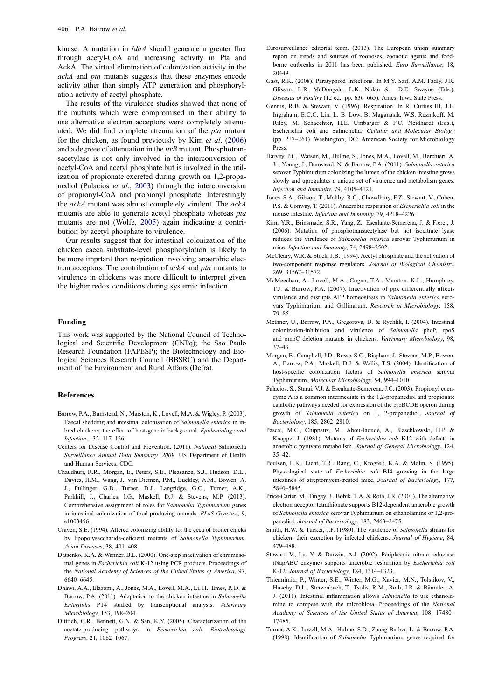<span id="page-6-0"></span>kinase. A mutation in *ldhA* should generate a greater flux through acetyl-CoA and increasing activity in Pta and AckA. The virtual elimination of colonization activity in the ackA and pta mutants suggests that these enzymes encode activity other than simply ATP generation and phosphorylation activity of acetyl phosphate.

The results of the virulence studies showed that none of the mutants which were compromised in their ability to use alternative electron acceptors were completely attenuated. We did find complete attenuation of the pta mutant for the chicken, as found previously by Kim et al. (2006) and a degreee of attenuation in the  $trB$  mutant. Phosphotransacetylase is not only involved in the interconversion of acetyl-CoA and acetyl phosphate but is involved in the utilization of propionate excreted during growth on 1,2-propanediol (Palacios et al., 2003) through the interconversion of propionyl-CoA and propionyl phosphate. Interestingly the ackA mutant was almost completely virulent. The ackA mutants are able to generate acetyl phosphate whereas pta mutants are not (Wolfe, [2005\)](#page-7-0) again indicating a contribution by acetyl phosphate to virulence.

Our results suggest that for intestinal colonization of the chicken caeca substrate-level phosphorylation is likely to be more imprtant than respiration involving anaerobic electron acceptors. The contribution of ackA and pta mutants to virulence in chickens was more difficult to interpret given the higher redox conditions during systemic infection.

## Funding

This work was supported by the National Council of Technological and Scientific Development (CNPq); the Sao Paulo Research Foundation (FAPESP); the Biotechnology and Biological Sciences Research Council (BBSRC) and the Department of the Environment and Rural Affairs (Defra).

#### References

- Barrow, P.A., Bumstead, N., Marston, K., Lovell, M.A. & Wigley, P. (2003). Faecal shedding and intestinal colonisation of Salmonella enterica in inbred chickens; the effect of host-genetic background. Epidemiology and Infection, 132, 117–126.
- Centers for Disease Control and Prevention. (2011). National Salmonella Surveillance Annual Data Summary, 2009. US Department of Health and Human Services, CDC.
- Chaudhuri, R.R., Morgan, E., Peters, S.E., Pleasance, S.J., Hudson, D.L., Davies, H.M., Wang, J., van Diemen, P.M., Buckley, A.M., Bowen, A. J., Pullinger, G.D., Turner, D.J., Langridge, G.C., Turner, A.K., Parkhill, J., Charles, I.G., Maskell, D.J. & Stevens, M.P. (2013). Comprehensive assignment of roles for Salmonella Typhimurium genes in intestinal colonization of food-producing animals. PLoS Genetics, 9, e1003456.
- Craven, S.E. (1994). Altered colonizing ability for the ceca of broiler chicks by lipopolysaccharide-deficient mutants of Salmonella Typhimurium. Avian Diseases, 38, 401–408.
- Datsenko, K.A. & Wanner, B.L. (2000). One-step inactivation of chromosomal genes in Escherichia coli K-12 using PCR products. Proceedings of the National Academy of Sciences of the United States of America, 97, 6640–6645.
- Dhawi, A.A., Elazomi, A., Jones, M.A., Lovell, M.A., Li, H., Emes, R.D. & Barrow, P.A. (2011). Adaptation to the chicken intestine in Salmonella Enteritidis PT4 studied by transcriptional analysis. Veterinary Microbiology, 153, 198–204.
- Dittrich, C.R., Bennett, G.N. & San, K.Y. (2005). Characterization of the acetate-producing pathways in Escherichia coli. Biotechnology Progress, 21, 1062–1067.
- Eurosurveillance editorial team. (2013). The European union summary report on trends and sources of zoonoses, zoonotic agents and foodborne outbreaks in 2011 has been published. Euro Surveillance, 18, 20449.
- Gast, R.K. (2008). Paratyphoid Infections. In M.Y. Saif, A.M. Fadly, J.R. Glisson, L.R. McDougald, L.K. Nolan & D.E. Swayne (Eds.), Diseases of Poultry (12 ed., pp. 636–665). Ames: Iowa State Press.
- Gennis, R.B. & Stewart, V. (1996). Respiration. In R. Curtiss III, J.L. Ingraham, E.C.C. Lin, L. B. Low, B. Maganasik, W.S. Reznikoff, M. Riley, M. Schaechter, H.E. Umbarger & F.C. Neidhardt (Eds.), Escherichia coli and Salmonella: Cellular and Molecular Biology (pp. 217–261). Washington, DC: American Society for Microbiology Press.
- Harvey, P.C., Watson, M., Hulme, S., Jones, M.A., Lovell, M., Berchieri, A. Jr., Young, J., Bumstead, N. & Barrow, P.A. (2011). Salmonella enterica serovar Typhimurium colonizing the lumen of the chicken intestine grows slowly and upregulates a unique set of virulence and metabolism genes. Infection and Immunity, 79, 4105–4121.
- Jones, S.A., Gibson, T., Maltby, R.C., Chowdhury, F.Z., Stewart, V., Cohen, P.S. & Conway, T. (2011). Anaerobic respiration of Escherichia coli in the mouse intestine. Infection and Immunity, 79, 4218–4226.
- Kim, Y.R., Brinsmade, S.R., Yang, Z., Escalante-Semerena, J. & Fierer, J. (2006). Mutation of phosphotransacetylase but not isocitrate lyase reduces the virulence of Salmonella enterica serovar Typhimurium in mice. Infection and Immunity, 74, 2498–2502.
- McCleary, W.R. & Stock, J.B. (1994). Acetyl phosphate and the activation of two-component response regulators. Journal of Biological Chemistry, 269, 31567–31572.
- McMeechan, A., Lovell, M.A., Cogan, T.A., Marston, K.L., Humphrey, T.J. & Barrow, P.A. (2007). Inactivation of ppk differentially affects virulence and disrupts ATP homeostasis in Salmonella enterica serovars Typhimurium and Gallinarum. Research in Microbiology, 158, 79–85.
- Methner, U., Barrow, P.A., Gregorova, D. & Rychlik, I. (2004). Intestinal colonization-inhibition and virulence of Salmonella phoP, rpoS and ompC deletion mutants in chickens. Veterinary Microbiology, 98, 37–43.
- Morgan, E., Campbell, J.D., Rowe, S.C., Bispham, J., Stevens, M.P., Bowen, A., Barrow, P.A., Maskell, D.J. & Wallis, T.S. (2004). Identification of host-specific colonization factors of Salmonella enterica serovar Typhimurium. Molecular Microbiology, 54, 994–1010.
- Palacios, S., Starai, V.J. & Escalante-Semerena, J.C. (2003). Propionyl coenzyme A is a common intermediate in the 1.2-propanediol and propionate catabolic pathways needed for expression of the prpBCDE operon during growth of Salmonella enterica on 1, 2-propanediol. Journal of Bacteriology, 185, 2802–2810.
- Pascal, M.C., Chippaux, M., Abou-Jaoudé, A., Blaschkowski, H.P. & Knappe, J. (1981). Mutants of Escherichia coli K12 with defects in anaerobic pyruvate metabolism. Journal of General Microbiology, 124,  $35-42$
- Poulsen, L.K., Licht, T.R., Rang, C., Krogfelt, K.A. & Molin, S. (1995). Physiological state of Escherichia coli BJ4 growing in the large intestines of streptomycin-treated mice. Journal of Bacteriology, 177, 5840–5845.
- Price-Carter, M., Tingey, J., Bobik, T.A. & Roth, J.R. (2001). The alternative electron acceptor tetrathionate supports B12-dependent anaerobic growth of Salmonella enterica serovar Typhimurium on ethanolamine or 1,2-propanediol. Journal of Bacteriology, 183, 2463–2475.
- Smith, H.W. & Tucker, J.F. (1980). The virulence of Salmonella strains for chicken: their excretion by infected chickens. Journal of Hygiene, 84, 479–488.
- Stewart, V., Lu, Y. & Darwin, A.J. (2002). Periplasmic nitrate reductase (NapABC enzyme) supports anaerobic respiration by Escherichia coli K-12. Journal of Bacteriology, 184, 1314–1323.
- Thiennimitr, P., Winter, S.E., Winter, M.G., Xavier, M.N., Tolstikov, V., Huseby, D.L., Sterzenbach, T., Tsolis, R.M., Roth, J.R. & Bäumler, A. J. (2011). Intestinal inflammation allows Salmonella to use ethanolamine to compete with the microbiota. Proceedings of the National Academy of Sciences of the United States of America, 108, 17480– 17485.
- Turner, A.K., Lovell, M.A., Hulme, S.D., Zhang-Barber, L. & Barrow, P.A. (1998). Identification of Salmonella Typhimurium genes required for